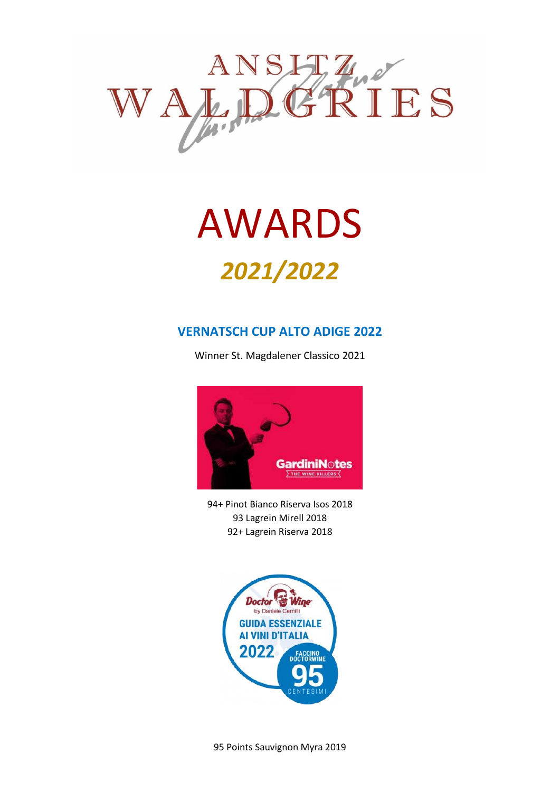

## AWARDS *2021/2022*

#### **VERNATSCH CUP ALTO ADIGE 2022**

Winner St. Magdalener Classico 2021



94+ Pinot Bianco Riserva Isos 2018 93 Lagrein Mirell 2018 92+ Lagrein Riserva 2018



95 Points Sauvignon Myra 2019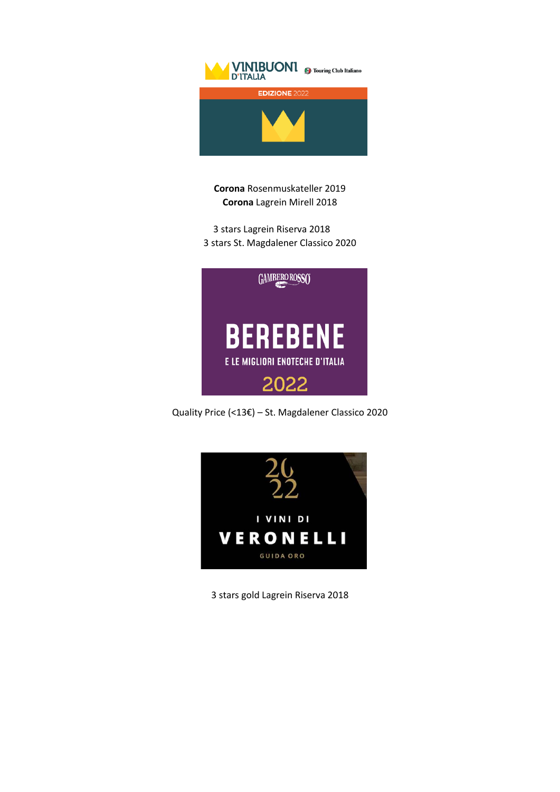

**Corona** Rosenmuskateller 2019 **Corona** Lagrein Mirell 2018

3 stars Lagrein Riserva 2018 3 stars St. Magdalener Classico 2020



Quality Price (<13€) – St. Magdalener Classico 2020



3 stars gold Lagrein Riserva 2018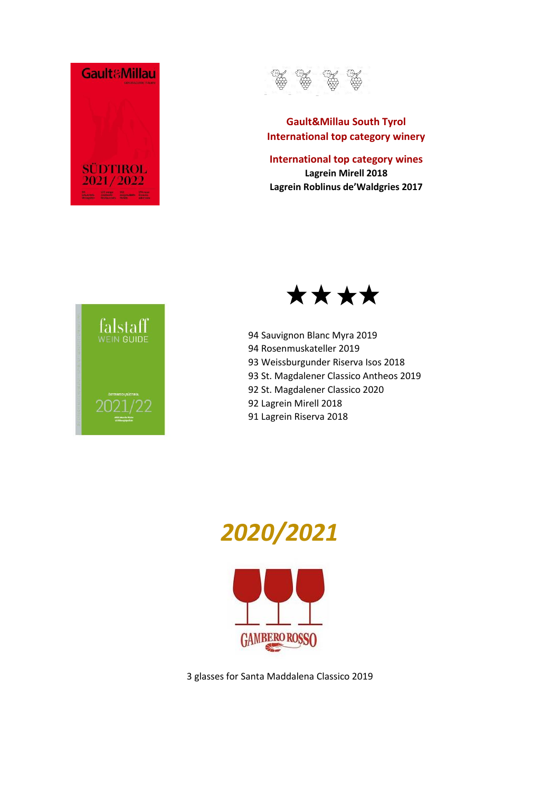



#### **Gault&Millau South Tyrol International top category winery**

**International top category wines Lagrein Mirell 2018 Lagrein Roblinus de'Waldgries 2017**





94 Sauvignon Blanc Myra 2019 94 Rosenmuskateller 2019 93 Weissburgunder Riserva Isos 2018 93 St. Magdalener Classico Antheos 2019 92 St. Magdalener Classico 2020 92 Lagrein Mirell 2018 91 Lagrein Riserva 2018



3 glasses for Santa Maddalena Classico 2019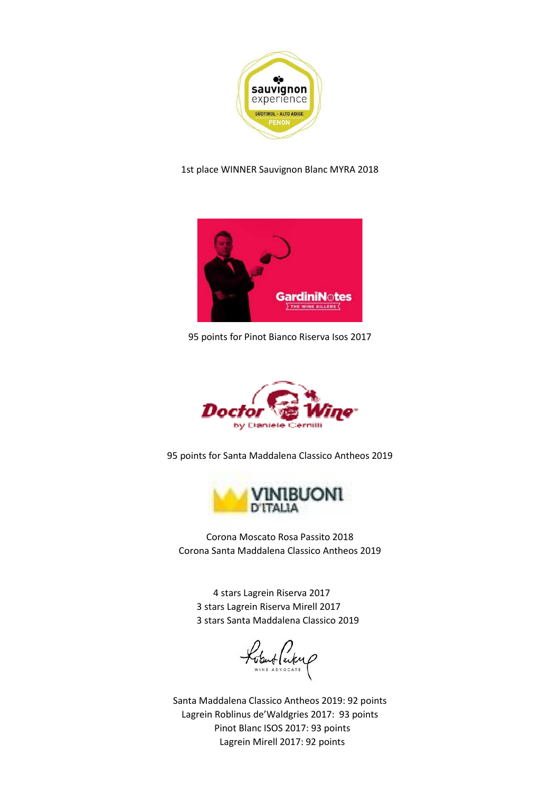

#### 1st place WINNER Sauvignon Blanc MYRA 2018



95 points for Pinot Bianco Riserva Isos 2017



95 points for Santa Maddalena Classico Antheos 2019



Corona Moscato Rosa Passito 2018 Corona Santa Maddalena Classico Antheos 2019

4 stars Lagrein Riserva 2017 3 stars Lagrein Riserva Mirell 2017 3 stars Santa Maddalena Classico 2019

Lobut Parkup

Santa Maddalena Classico Antheos 2019: 92 points Lagrein Roblinus de'Waldgries 2017: 93 points Pinot Blanc ISOS 2017: 93 points Lagrein Mirell 2017: 92 points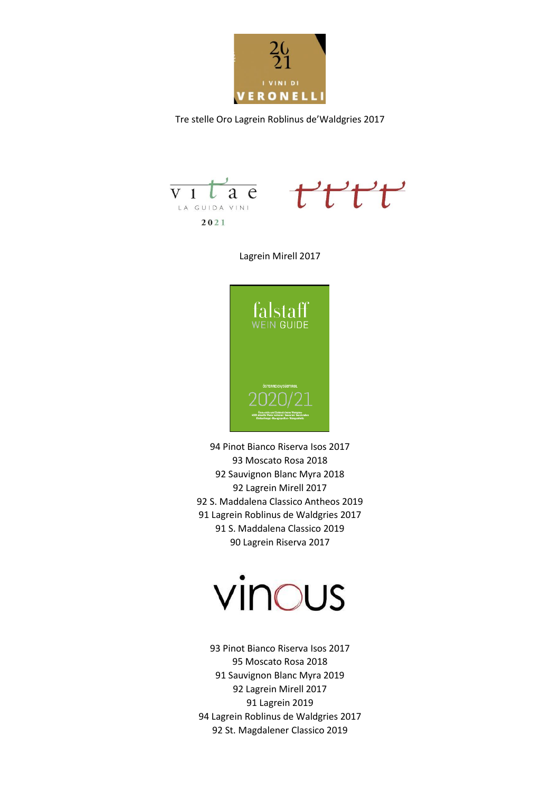

Tre stelle Oro Lagrein Roblinus de'Waldgries 2017





Lagrein Mirell 2017



94 Pinot Bianco Riserva Isos 2017 93 Moscato Rosa 2018 92 Sauvignon Blanc Myra 2018 92 Lagrein Mirell 2017 92 S. Maddalena Classico Antheos 2019 91 Lagrein Roblinus de Waldgries 2017 91 S. Maddalena Classico 2019 90 Lagrein Riserva 2017

# vinous

93 Pinot Bianco Riserva Isos 2017 95 Moscato Rosa 2018 91 Sauvignon Blanc Myra 2019 92 Lagrein Mirell 2017 91 Lagrein 2019 94 Lagrein Roblinus de Waldgries 2017 92 St. Magdalener Classico 2019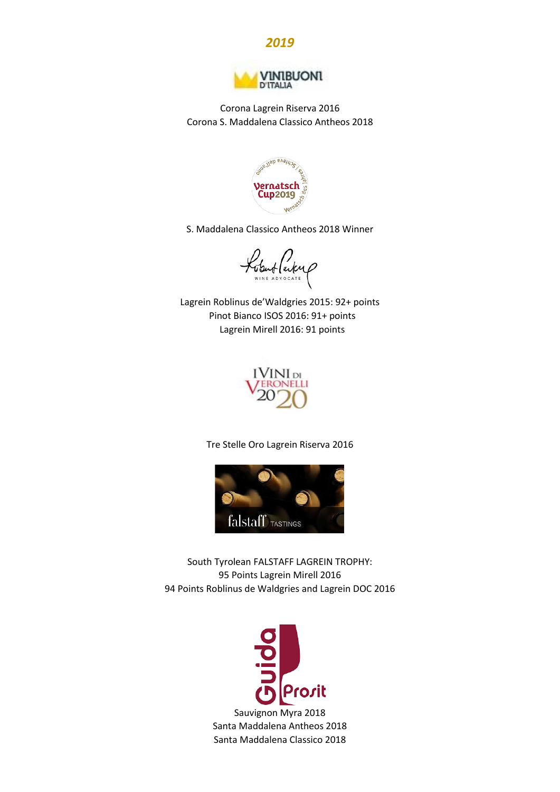



Corona Lagrein Riserva 2016 Corona S. Maddalena Classico Antheos 2018



S. Maddalena Classico Antheos 2018 Winner

Lobut Perky

Lagrein Roblinus de'Waldgries 2015: 92+ points Pinot Bianco ISOS 2016: 91+ points Lagrein Mirell 2016: 91 points



Tre Stelle Oro Lagrein Riserva 2016



South Tyrolean FALSTAFF LAGREIN TROPHY: 95 Points Lagrein Mirell 2016 94 Points Roblinus de Waldgries and Lagrein DOC 2016

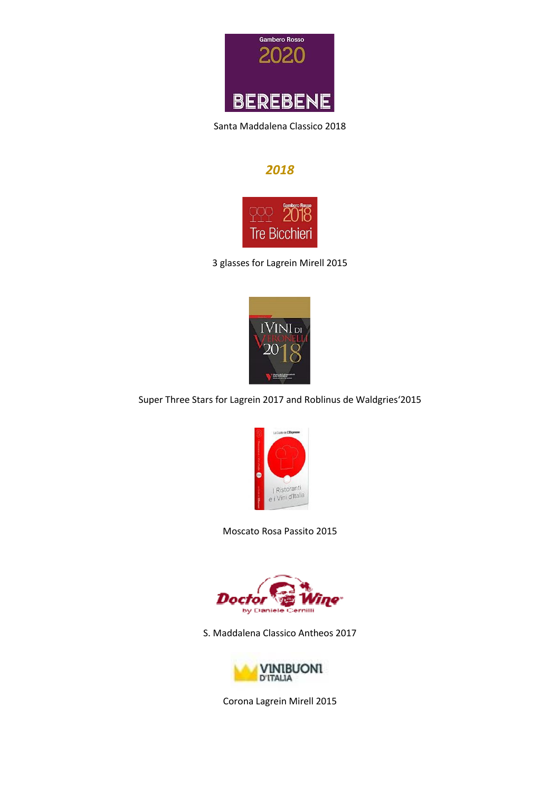

Santa Maddalena Classico 2018

#### *2018*



3 glasses for Lagrein Mirell 2015



Super Three Stars for Lagrein 2017 and Roblinus de Waldgries'2015



Moscato Rosa Passito 2015



S. Maddalena Classico Antheos 2017



Corona Lagrein Mirell 2015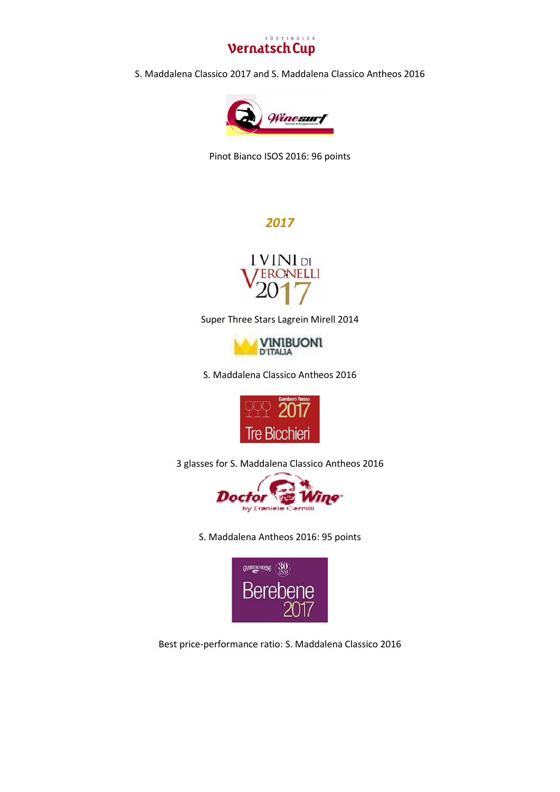

S. Maddalena Classico 2017 and S. Maddalena Classico Antheos 2016



Pinot Bianco ISOS 2016: 96 points

#### *2017*



Super Three Stars Lagrein Mirell 2014



S. Maddalena Classico Antheos 2016



3 glasses for S. Maddalena Classico Antheos 2016



S. Maddalena Antheos 2016: 95 points



Best price-performance ratio: S. Maddalena Classico 2016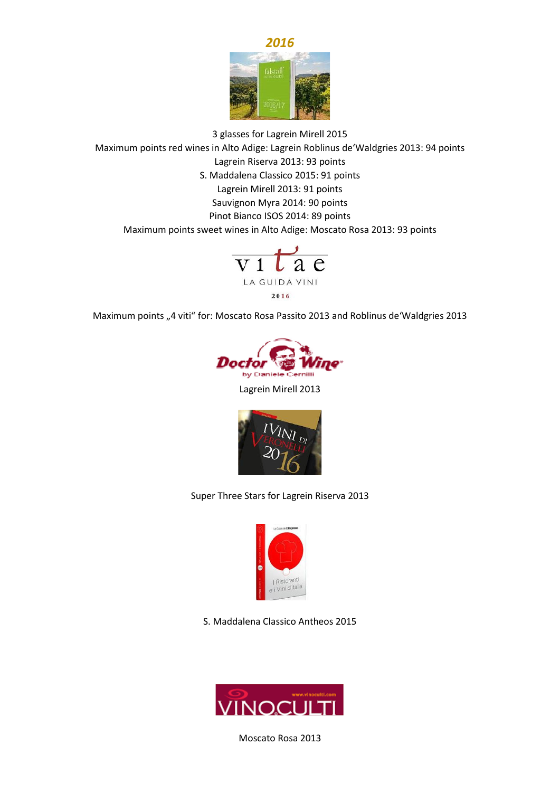

3 glasses for Lagrein Mirell 2015 Maximum points red wines in Alto Adige: Lagrein Roblinus de'Waldgries 2013: 94 points Lagrein Riserva 2013: 93 points S. Maddalena Classico 2015: 91 points Lagrein Mirell 2013: 91 points Sauvignon Myra 2014: 90 points Pinot Bianco ISOS 2014: 89 points Maximum points sweet wines in Alto Adige: Moscato Rosa 2013: 93 points



Maximum points "4 viti" for: Moscato Rosa Passito 2013 and Roblinus de'Waldgries 2013



Lagrein Mirell 2013



Super Three Stars for Lagrein Riserva 2013



S. Maddalena Classico Antheos 2015



Moscato Rosa 2013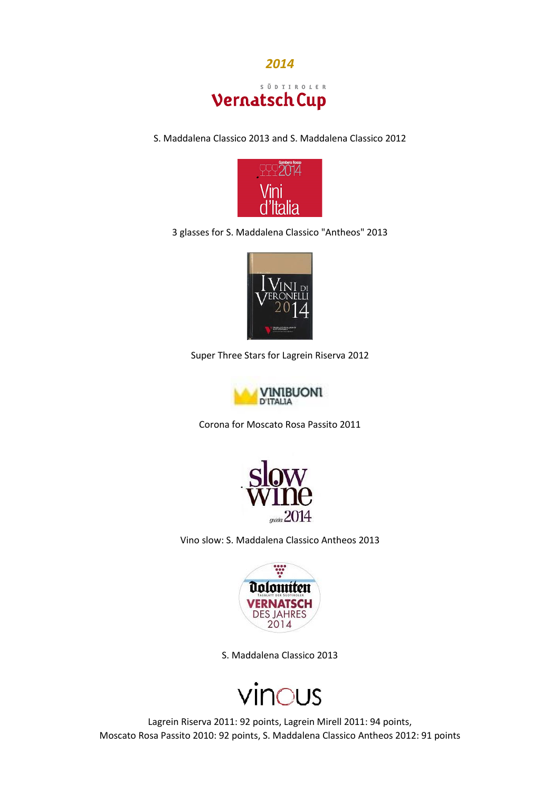

S. Maddalena Classico 2013 and S. Maddalena Classico 2012



3 glasses for S. Maddalena Classico "Antheos" 2013



Super Three Stars for Lagrein Riserva 2012



Corona for Moscato Rosa Passito 2011



Vino slow: S. Maddalena Classico Antheos 2013



S. Maddalena Classico 2013



Lagrein Riserva 2011: 92 points, Lagrein Mirell 2011: 94 points, Moscato Rosa Passito 2010: 92 points, S. Maddalena Classico Antheos 2012: 91 points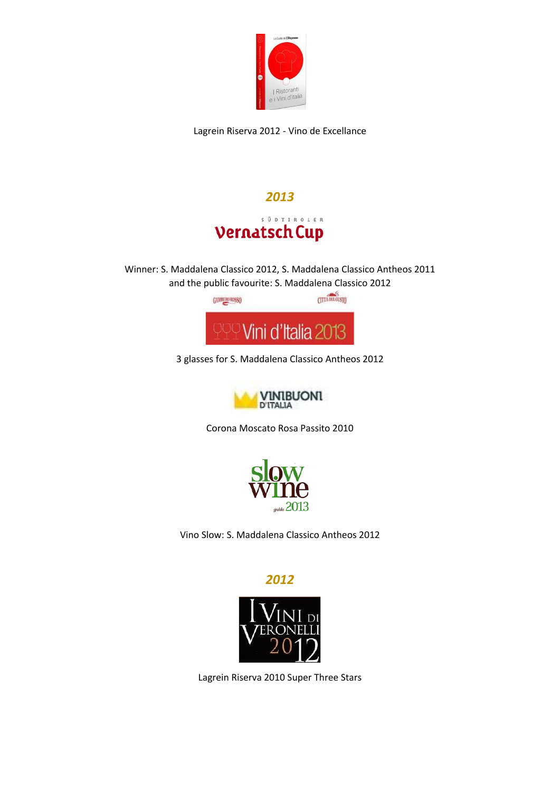

Lagrein Riserva 2012 - Vino de Excellance



Winner: S. Maddalena Classico 2012, S. Maddalena Classico Antheos 2011 and the public favourite: S. Maddalena Classico 2012



3 glasses for S. Maddalena Classico Antheos 2012



Corona Moscato Rosa Passito 2010



Vino Slow: S. Maddalena Classico Antheos 2012

*2012*



Lagrein Riserva 2010 Super Three Stars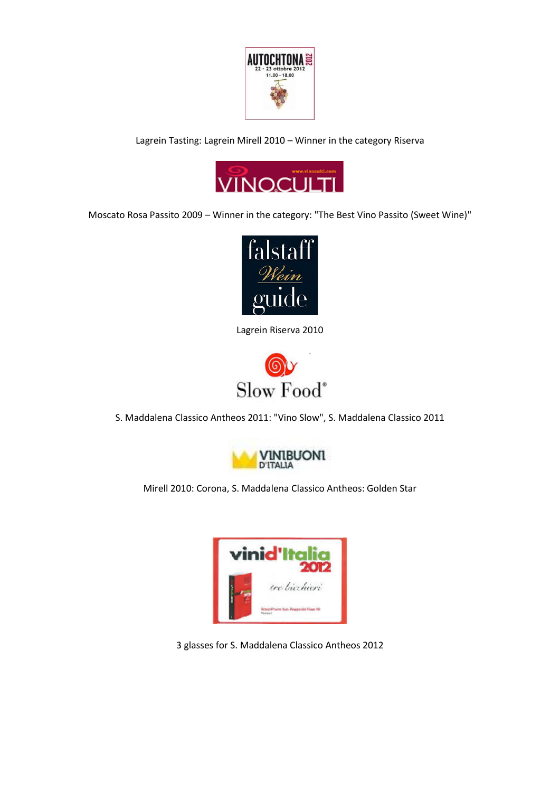

Lagrein Tasting: Lagrein Mirell 2010 – Winner in the category Riserva



Moscato Rosa Passito 2009 – Winner in the category: "The Best Vino Passito (Sweet Wine)"



Lagrein Riserva 2010



S. Maddalena Classico Antheos 2011: "Vino Slow", S. Maddalena Classico 2011



Mirell 2010: Corona, S. Maddalena Classico Antheos: Golden Star



3 glasses for S. Maddalena Classico Antheos 2012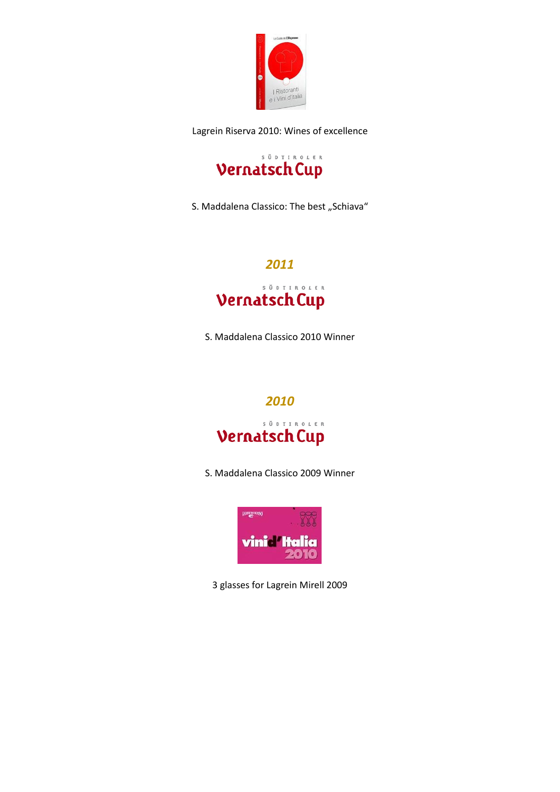

Lagrein Riserva 2010: Wines of excellence



S. Maddalena Classico: The best "Schiava"

### *2011* S Ŭ D T I R O L E R **Vernatsch Cup**

S. Maddalena Classico 2010 Winner

#### *2010*

#### S Ŭ D T I R O L E R **Vernatsch Cup**

S. Maddalena Classico 2009 Winner



3 glasses for Lagrein Mirell 2009